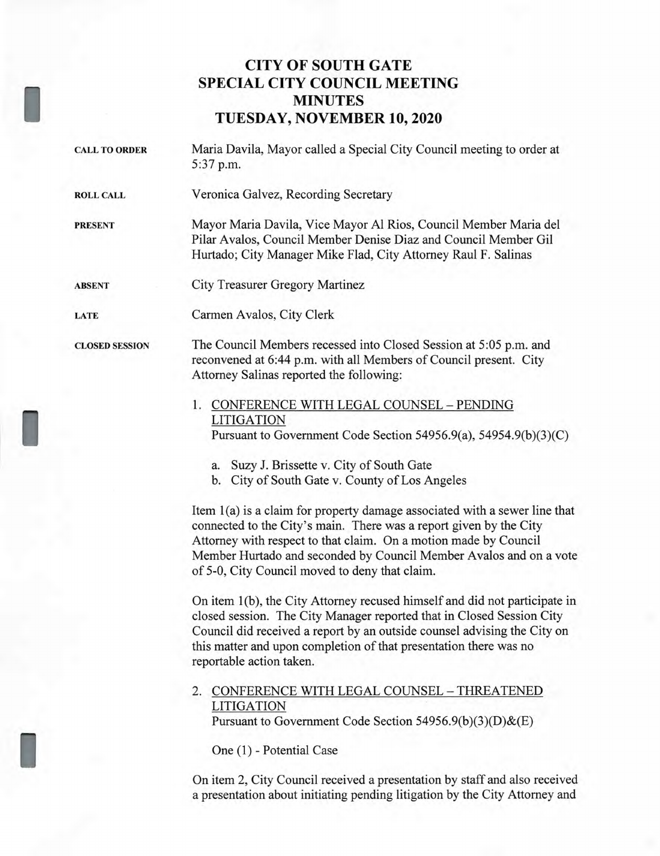# **CITY OF SOUTH GATE SPECIAL CITY COUNCIL MEETING MINUTES TUESDAY, NOVEMBER 10, 2020**

CALL TO ORDER Maria Davila, Mayor called a Special City Council meeting to order at 5:37 p.m.

ROLL CALL Veronica Galvez, Recording Secretary

PRESENT Mayor Maria Davila, Vice Mayor Al Rios, Council Member Maria del Pilar Avalos, Council Member Denise Diaz and Council Member Gil Hurtado; City Manager Mike Flad, City Attorney Raul F. Salinas

ABSENT City Treasurer Gregory Martinez

LATE Carmen Avalos, City Clerk

CLOSED SESSION The Council Members recessed into Closed Session at 5:05 p.m. and reconvened at 6:44 p.m. with all Members of Council present. City Attorney Salinas reported the following:

## 1. CONFERENCE WITH LEGAL COUNSEL — PENDING LITIGATION Pursuant to Government Code Section 54956.9(a), 54954.9(b)(3)(C)

a. Suzy J. Brissette v. City of South Gate

b. City of South Gate v. County of Los Angeles

Item 1(a) is a claim for property damage associated with a sewer line that connected to the City's main. There was a report given by the City Attorney with respect to that claim. On a motion made by Council Member Hurtado and seconded by Council Member Avalos and on a vote of 5-0, City Council moved to deny that claim.

On item 1(b), the City Attorney recused himself and did not participate in closed session. The City Manager reported that in Closed Session City Council did received a report by an outside counsel advising the City on this matter and upon completion of that presentation there was no reportable action taken.

### 2. CONFERENCE WITH LEGAL COUNSEL — THREATENED LITIGATION Pursuant to Government Code Section 54956.9(b)(3)(D)&(E)

One (1) - Potential Case

On item 2, City Council received a presentation by staff and also received a presentation about initiating pending litigation by the City Attorney and